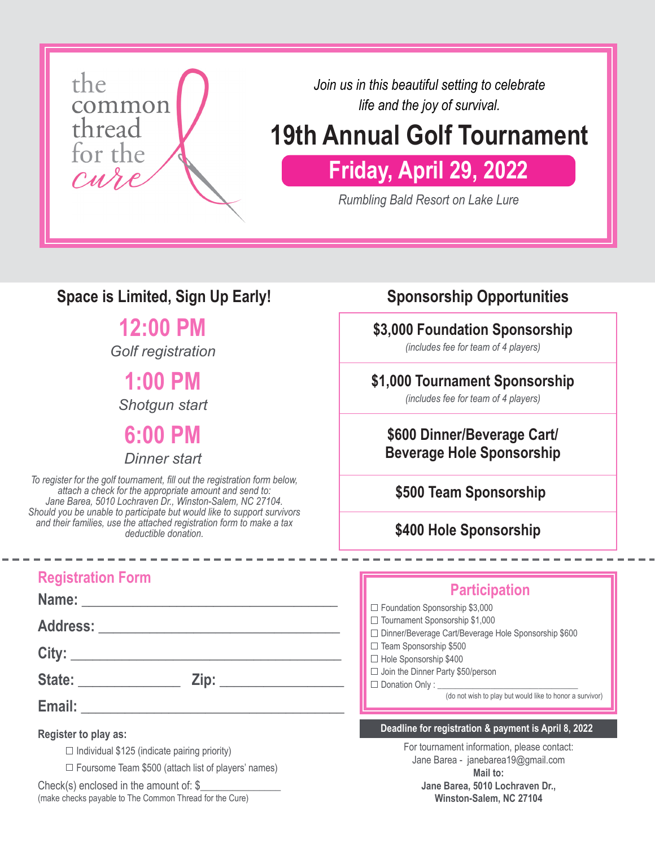

*Join us in this beautiful setting to celebrate life and the joy of survival.*

# **19th Annual Golf Tournament**

# **Friday, April 29, 2022**

*Rumbling Bald Resort on Lake Lure*

### **Space is Limited, Sign Up Early!**

**12:00 PM**

*Golf registration*

**1:00 PM** *Shotgun start*

**6:00 PM**

*Dinner start*

*To register for the golf tournament, fill out the registration form below, attach a check for the appropriate amount and send to: Jane Barea, 5010 Lochraven Dr., Winston-Salem, NC 27104. Should you be unable to participate but would like to support survivors and their families, use the attached registration form to make a tax deductible donation.*

### **Registration Form**

**Name: \_\_\_\_\_\_\_\_\_\_\_\_\_\_\_\_\_\_\_\_\_\_\_\_\_\_\_\_\_\_\_\_\_\_\_**

**Address: \_\_\_\_\_\_\_\_\_\_\_\_\_\_\_\_\_\_\_\_\_\_\_\_\_\_\_\_\_\_\_\_\_**

**City: \_\_\_\_\_\_\_\_\_\_\_\_\_\_\_\_\_\_\_\_\_\_\_\_\_\_\_\_\_\_\_\_\_\_\_\_\_**

**State: \_\_\_\_\_\_\_\_\_\_\_\_\_\_ Zip: \_\_\_\_\_\_\_\_\_\_\_\_\_\_\_\_\_**

**Email:**  $\blacksquare$ 

**Register to play as:**

 $\Box$  Individual \$125 (indicate pairing priority)

 $\Box$  Foursome Team \$500 (attach list of players' names)

Check(s) enclosed in the amount of:  $\S$ (make checks payable to The Common Thread for the Cure)

### **Sponsorship Opportunities**

#### **\$3,000 Foundation Sponsorship**

*(includes fee for team of 4 players)*

#### **\$1,000 Tournament Sponsorship**

*(includes fee for team of 4 players)*

#### **\$600 Dinner/Beverage Cart/ Beverage Hole Sponsorship**

**\$500 Team Sponsorship**

**\$400 Hole Sponsorship**

#### **Participation**

□ Foundation Sponsorship \$3,000

 $\Box$  Tournament Sponsorship \$1,000

- Dinner/Beverage Cart/Beverage Hole Sponsorship \$600
- $\Box$  Team Sponsorship \$500  $\Box$  Hole Sponsorship \$400
- $\Box$  Join the Dinner Party \$50/person
- $\square$  Donation Only : \_

(do not wish to play but would like to honor a survivor)

#### **Deadline for registration & payment is April 8, 2022**

For tournament information, please contact: Jane Barea - janebarea19@gmail.com **Mail to: Jane Barea, 5010 Lochraven Dr.,** 

**Winston-Salem, NC 27104**